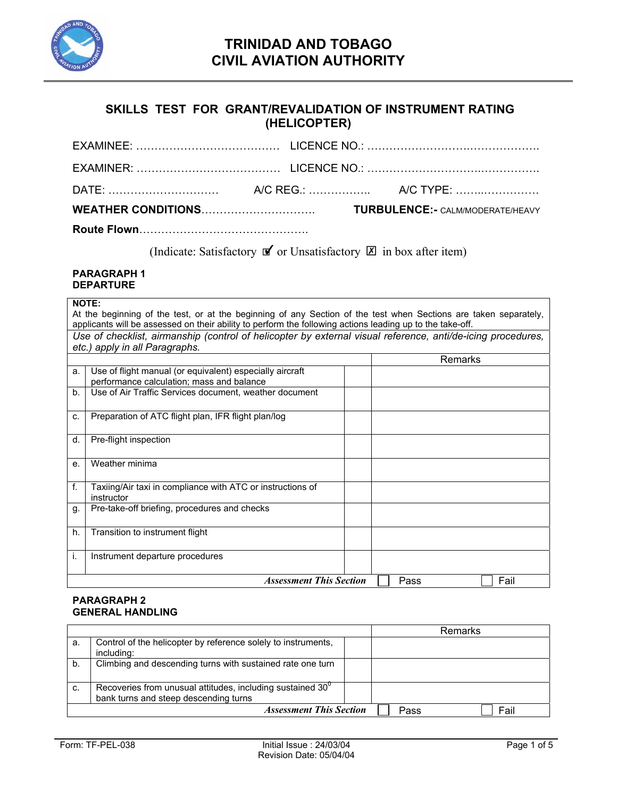

### **SKILLS TEST FOR GRANT/REVALIDATION OF INSTRUMENT RATING (HELICOPTER)**

| <b>Route Flown</b> |                                         |
|--------------------|-----------------------------------------|
|                    | <b>TURBULENCE:- CALM/MODERATE/HEAVY</b> |
|                    |                                         |
|                    |                                         |
|                    |                                         |

**Route Flown**……………………………………….

(Indicate: Satisfactory  $\mathbf{\nabla}$  or Unsatisfactory  $\mathbf{\nabla}$  in box after item)

#### **PARAGRAPH 1 DEPARTURE**

#### **NOTE:**

At the beginning of the test, or at the beginning of any Section of the test when Sections are taken separately, applicants will be assessed on their ability to perform the following actions leading up to the take-off. *Use of checklist, airmanship (control of helicopter by external visual reference, anti/de-icing procedures, etc.) apply in all Paragraphs.* 

|    |                                                                                                       | Remarks      |
|----|-------------------------------------------------------------------------------------------------------|--------------|
| a. | Use of flight manual (or equivalent) especially aircraft<br>performance calculation; mass and balance |              |
| b. | Use of Air Traffic Services document, weather document                                                |              |
| C. | Preparation of ATC flight plan, IFR flight plan/log                                                   |              |
| d. | Pre-flight inspection                                                                                 |              |
| е. | Weather minima                                                                                        |              |
| f. | Taxiing/Air taxi in compliance with ATC or instructions of<br>instructor                              |              |
| g. | Pre-take-off briefing, procedures and checks                                                          |              |
| h. | Transition to instrument flight                                                                       |              |
| j. | Instrument departure procedures                                                                       |              |
|    | <b>Assessment This Section</b>                                                                        | Fail<br>Pass |

### **PARAGRAPH 2 GENERAL HANDLING**

|    |                                                               |      | Remarks |
|----|---------------------------------------------------------------|------|---------|
| а. | Control of the helicopter by reference solely to instruments, |      |         |
|    | including:                                                    |      |         |
| b. | Climbing and descending turns with sustained rate one turn    |      |         |
|    |                                                               |      |         |
| C. | Recoveries from unusual attitudes, including sustained $30^0$ |      |         |
|    | bank turns and steep descending turns                         |      |         |
|    | <b>Assessment This Section</b>                                | Pass | Fail    |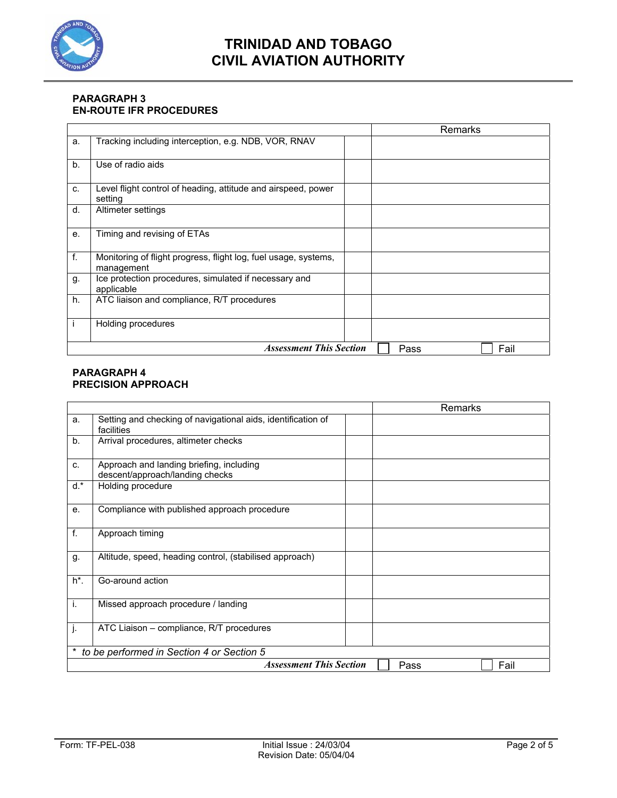

### **PARAGRAPH 3 EN-ROUTE IFR PROCEDURES**

|         |                                                                               | Remarks      |
|---------|-------------------------------------------------------------------------------|--------------|
| a.      | Tracking including interception, e.g. NDB, VOR, RNAV                          |              |
| b.      | Use of radio aids                                                             |              |
| C.      | Level flight control of heading, attitude and airspeed, power<br>setting      |              |
| d.      | Altimeter settings                                                            |              |
| $e_{i}$ | Timing and revising of ETAs                                                   |              |
| f.      | Monitoring of flight progress, flight log, fuel usage, systems,<br>management |              |
| g.      | Ice protection procedures, simulated if necessary and<br>applicable           |              |
| h.      | ATC liaison and compliance, R/T procedures                                    |              |
|         | Holding procedures                                                            |              |
|         | <b>Assessment This Section</b>                                                | Fail<br>Pass |

#### **PARAGRAPH 4 PRECISION APPROACH**

|                                                |                                                                             | <b>Remarks</b> |
|------------------------------------------------|-----------------------------------------------------------------------------|----------------|
| a.                                             | Setting and checking of navigational aids, identification of<br>facilities  |                |
| b.                                             | Arrival procedures, altimeter checks                                        |                |
| C.                                             | Approach and landing briefing, including<br>descent/approach/landing checks |                |
| $d.*$                                          | Holding procedure                                                           |                |
| е.                                             | Compliance with published approach procedure                                |                |
| f.                                             | Approach timing                                                             |                |
| g.                                             | Altitude, speed, heading control, (stabilised approach)                     |                |
| $h^*$ .                                        | Go-around action                                                            |                |
| i.                                             | Missed approach procedure / landing                                         |                |
| j.                                             | ATC Liaison - compliance, R/T procedures                                    |                |
| *<br>to be performed in Section 4 or Section 5 |                                                                             |                |
|                                                | <b>Assessment This Section</b>                                              | Fail<br>Pass   |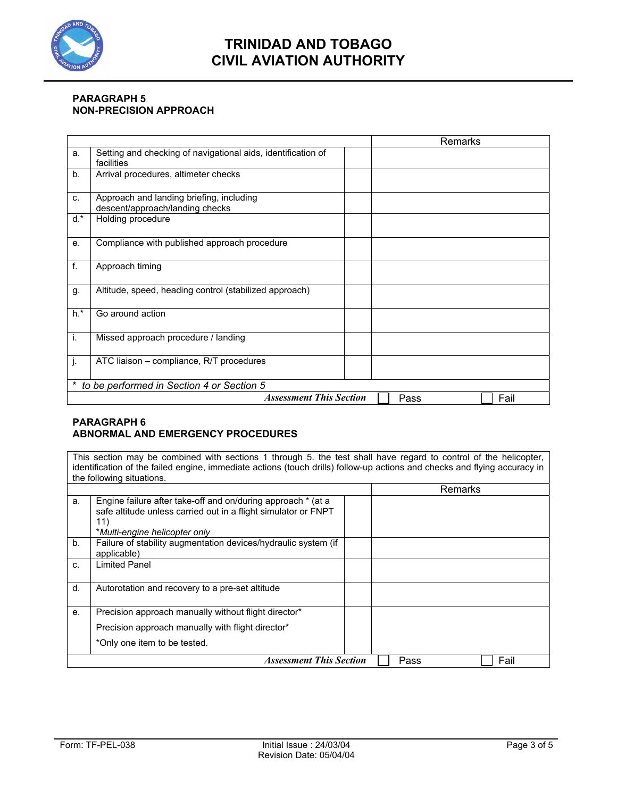

### **PARAGRAPH 5 NON-PRECISION APPROACH**

|                                           |                                                                             |  | Remarks      |
|-------------------------------------------|-----------------------------------------------------------------------------|--|--------------|
| a.                                        | Setting and checking of navigational aids, identification of<br>facilities  |  |              |
| b.                                        | Arrival procedures, altimeter checks                                        |  |              |
| C.                                        | Approach and landing briefing, including<br>descent/approach/landing checks |  |              |
| $d.*$                                     | Holding procedure                                                           |  |              |
| e.                                        | Compliance with published approach procedure                                |  |              |
| f.                                        | Approach timing                                                             |  |              |
| g.                                        | Altitude, speed, heading control (stabilized approach)                      |  |              |
| $h.*$                                     | Go around action                                                            |  |              |
| i.                                        | Missed approach procedure / landing                                         |  |              |
| j.                                        | ATC liaison – compliance, R/T procedures                                    |  |              |
| to be performed in Section 4 or Section 5 |                                                                             |  |              |
|                                           | <b>Assessment This Section</b>                                              |  | Fail<br>Pass |

### **PARAGRAPH 6 ABNORMAL AND EMERGENCY PROCEDURES**

This section may be combined with sections 1 through 5. the test shall have regard to control of the helicopter, identification of the failed engine, immediate actions (touch drills) follow-up actions and checks and flying accuracy in the following situations.

|    |                                                                                                                                                                        | Remarks      |
|----|------------------------------------------------------------------------------------------------------------------------------------------------------------------------|--------------|
| a. | Engine failure after take-off and on/during approach * (at a<br>safe altitude unless carried out in a flight simulator or FNPT<br>11)<br>*Multi-engine helicopter only |              |
| b. | Failure of stability augmentation devices/hydraulic system (if<br>applicable)                                                                                          |              |
| C. | <b>Limited Panel</b>                                                                                                                                                   |              |
| d. | Autorotation and recovery to a pre-set altitude                                                                                                                        |              |
| е. | Precision approach manually without flight director*                                                                                                                   |              |
|    | Precision approach manually with flight director*                                                                                                                      |              |
|    | *Only one item to be tested.                                                                                                                                           |              |
|    | <b>Assessment This Section</b>                                                                                                                                         | Fail<br>Pass |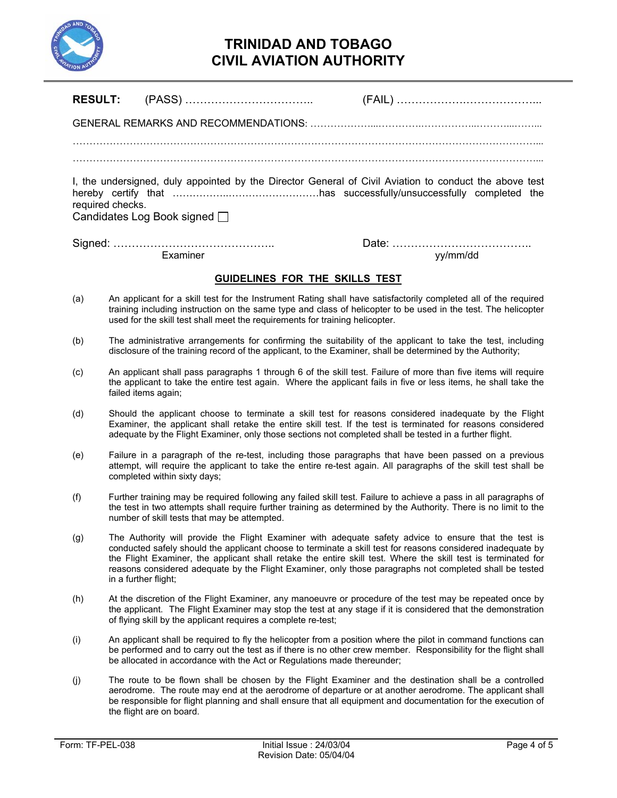

| <b>RESULT:</b>                                                                                                                                             |                                                                                                                                                                                                                                                                                                                                  |  |  |  |
|------------------------------------------------------------------------------------------------------------------------------------------------------------|----------------------------------------------------------------------------------------------------------------------------------------------------------------------------------------------------------------------------------------------------------------------------------------------------------------------------------|--|--|--|
|                                                                                                                                                            |                                                                                                                                                                                                                                                                                                                                  |  |  |  |
|                                                                                                                                                            |                                                                                                                                                                                                                                                                                                                                  |  |  |  |
| I, the undersigned, duly appointed by the Director General of Civil Aviation to conduct the above test<br>required checks.<br>Candidates Log Book signed □ |                                                                                                                                                                                                                                                                                                                                  |  |  |  |
|                                                                                                                                                            | Examiner<br>yy/mm/dd                                                                                                                                                                                                                                                                                                             |  |  |  |
|                                                                                                                                                            | GUIDELINES FOR THE SKILLS TEST                                                                                                                                                                                                                                                                                                   |  |  |  |
| (a)                                                                                                                                                        | An applicant for a skill test for the Instrument Rating shall have satisfactorily completed all of the required<br>training including instruction on the same type and class of helicopter to be used in the test. The helicopter<br>used for the skill test shall meet the requirements for training helicopter.                |  |  |  |
| (b)                                                                                                                                                        | The administrative arrangements for confirming the suitability of the applicant to take the test, including<br>disclosure of the training record of the applicant, to the Examiner, shall be determined by the Authority;                                                                                                        |  |  |  |
| (c)                                                                                                                                                        | An applicant shall pass paragraphs 1 through 6 of the skill test. Failure of more than five items will require<br>the applicant to take the entire test again. Where the applicant fails in five or less items, he shall take the<br>failed items again;                                                                         |  |  |  |
| (d)                                                                                                                                                        | Should the applicant choose to terminate a skill test for reasons considered inadequate by the Flight<br>Examiner, the applicant shall retake the entire skill test. If the test is terminated for reasons considered<br>adequate by the Flight Examiner, only those sections not completed shall be tested in a further flight. |  |  |  |
| (e)                                                                                                                                                        | Failure in a paragraph of the re-test, including those paragraphs that have been passed on a previous<br>attempt, will require the applicant to take the entire re-test again. All paragraphs of the skill test shall be<br>completed within sixty days;                                                                         |  |  |  |
| (f)                                                                                                                                                        | Further training may be required following any failed skill test. Failure to achieve a pass in all paragraphs of<br>the test in two attempts shall require further training as determined by the Authority. There is no limit to the<br>number of skill tests that may be attempted.                                             |  |  |  |

- (g) The Authority will provide the Flight Examiner with adequate safety advice to ensure that the test is conducted safely should the applicant choose to terminate a skill test for reasons considered inadequate by the Flight Examiner, the applicant shall retake the entire skill test. Where the skill test is terminated for reasons considered adequate by the Flight Examiner, only those paragraphs not completed shall be tested in a further flight;
- (h) At the discretion of the Flight Examiner, any manoeuvre or procedure of the test may be repeated once by the applicant. The Flight Examiner may stop the test at any stage if it is considered that the demonstration of flying skill by the applicant requires a complete re-test;
- (i) An applicant shall be required to fly the helicopter from a position where the pilot in command functions can be performed and to carry out the test as if there is no other crew member. Responsibility for the flight shall be allocated in accordance with the Act or Regulations made thereunder;
- (j) The route to be flown shall be chosen by the Flight Examiner and the destination shall be a controlled aerodrome. The route may end at the aerodrome of departure or at another aerodrome. The applicant shall be responsible for flight planning and shall ensure that all equipment and documentation for the execution of the flight are on board.